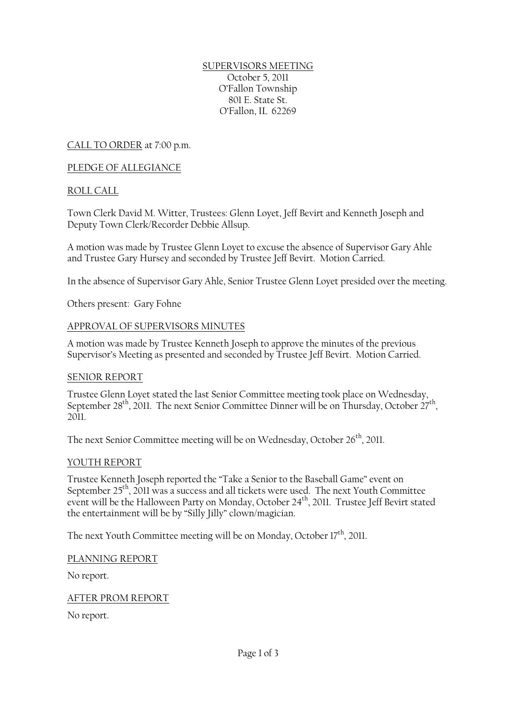#### SUPERVISORS MEETING October 5, 2011 O'Fallon Township 801 E. State St. O'Fallon, IL 62269

CALL TO ORDER at 7:00 p.m.

## PLEDGE OF ALLEGIANCE

### ROLL CALL

Town Clerk David M. Witter, Trustees: Glenn Loyet, Jeff Bevirt and Kenneth Joseph and Deputy Town Clerk/Recorder Debbie Allsup.

A motion was made by Trustee Glenn Loyet to excuse the absence of Supervisor Gary Ahle and Trustee Gary Hursey and seconded by Trustee Jeff Bevirt. Motion Carried.

In the absence of Supervisor Gary Ahle, Senior Trustee Glenn Loyet presided over the meeting.

Others present: Gary Fohne

#### APPROVAL OF SUPERVISORS MINUTES

A motion was made by Trustee Kenneth Joseph to approve the minutes of the previous Supervisor's Meeting as presented and seconded by Trustee Jeff Bevirt. Motion Carried.

#### SENIOR REPORT

Trustee Glenn Loyet stated the last Senior Committee meeting took place on Wednesday, September 28<sup>th</sup>, 2011. The next Senior Committee Dinner will be on Thursday, October 27<sup>th</sup>, 2011.

The next Senior Committee meeting will be on Wednesday, October  $26<sup>th</sup>$ , 2011.

#### YOUTH REPORT

Trustee Kenneth Joseph reported the "Take a Senior to the Baseball Game" event on September  $25<sup>th</sup>$ , 2011 was a success and all tickets were used. The next Youth Committee event will be the Halloween Party on Monday, October 24<sup>th</sup>, 2011. Trustee Jeff Bevirt stated the entertainment will be by "Silly Jilly" clown/magician.

The next Youth Committee meeting will be on Monday, October  $17<sup>th</sup>$ , 2011.

PLANNING REPORT

No report.

AFTER PROM REPORT

No report.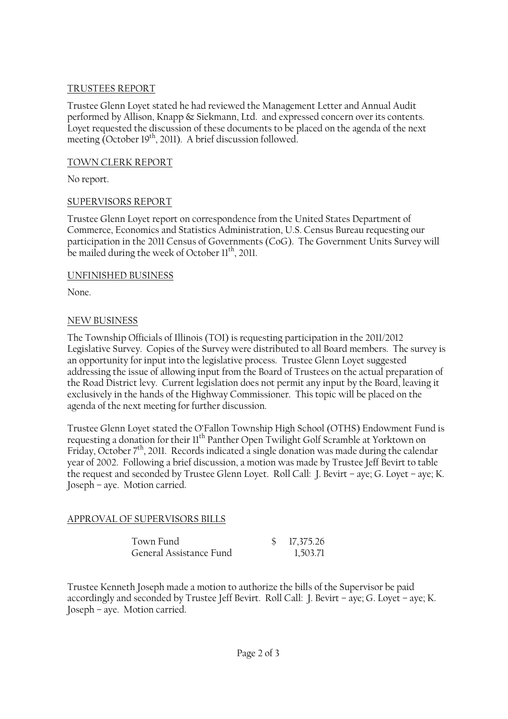### TRUSTEES REPORT

Trustee Glenn Loyet stated he had reviewed the Management Letter and Annual Audit performed by Allison, Knapp & Siekmann, Ltd. and expressed concern over its contents. Loyet requested the discussion of these documents to be placed on the agenda of the next meeting (October  $19<sup>th</sup>$ , 2011). A brief discussion followed.

## TOWN CLERK REPORT

No report.

# SUPERVISORS REPORT

Trustee Glenn Loyet report on correspondence from the United States Department of Commerce, Economics and Statistics Administration, U.S. Census Bureau requesting our participation in the 2011 Census of Governments (CoG). The Government Units Survey will be mailed during the week of October 11<sup>th</sup>, 2011.

### UNFINISHED BUSINESS

None.

# NEW BUSINESS

The Township Officials of Illinois (TOI) is requesting participation in the 2011/2012 Legislative Survey. Copies of the Survey were distributed to all Board members. The survey is an opportunity for input into the legislative process. Trustee Glenn Loyet suggested addressing the issue of allowing input from the Board of Trustees on the actual preparation of the Road District levy. Current legislation does not permit any input by the Board, leaving it exclusively in the hands of the Highway Commissioner. This topic will be placed on the agenda of the next meeting for further discussion.

Trustee Glenn Loyet stated the O'Fallon Township High School (OTHS) Endowment Fund is requesting a donation for their  $11^{th}$  Panther Open Twilight Golf Scramble at Yorktown on Friday, October  $7<sup>th</sup>$ , 2011. Records indicated a single donation was made during the calendar year of 2002. Following a brief discussion, a motion was made by Trustee Jeff Bevirt to table the request and seconded by Trustee Glenn Loyet. Roll Call: J. Bevirt – aye; G. Loyet – aye; K. Joseph – aye. Motion carried.

# APPROVAL OF SUPERVISORS BILLS

| Town Fund               | \$17,375.26 |
|-------------------------|-------------|
| General Assistance Fund | 1,503.71    |

Trustee Kenneth Joseph made a motion to authorize the bills of the Supervisor be paid accordingly and seconded by Trustee Jeff Bevirt. Roll Call: J. Bevirt – aye; G. Loyet – aye; K. Joseph – aye. Motion carried.